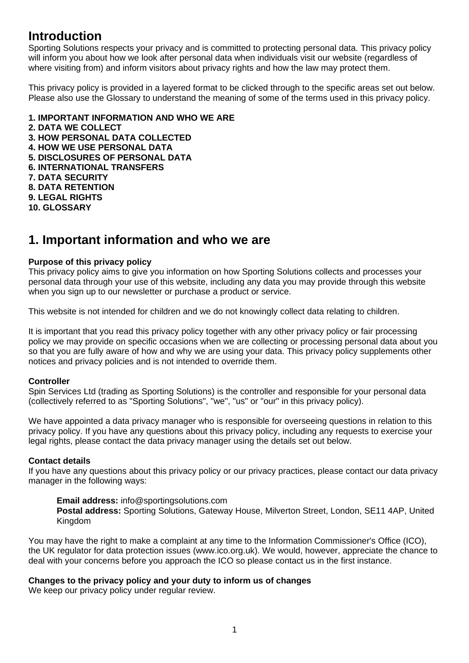# **Introduction**

Sporting Solutions respects your privacy and is committed to protecting personal data. This privacy policy will inform you about how we look after personal data when individuals visit our website (regardless of where visiting from) and inform visitors about privacy rights and how the law may protect them.

This privacy policy is provided in a layered format to be clicked through to the specific areas set out below. Please also use the Glossary to understand the meaning of some of the terms used in this privacy policy.

#### **1. IMPORTANT INFORMATION AND WHO WE ARE**

- **2. DATA WE COLLECT**
- **3. HOW PERSONAL DATA COLLECTED**
- **4. HOW WE USE PERSONAL DATA**
- **5. DISCLOSURES OF PERSONAL DATA**
- **6. INTERNATIONAL TRANSFERS**
- **7. DATA SECURITY**
- **8. DATA RETENTION**
- **9. LEGAL RIGHTS**
- **10. GLOSSARY**

## **1. Important information and who we are**

#### **Purpose of this privacy policy**

This privacy policy aims to give you information on how Sporting Solutions collects and processes your personal data through your use of this website, including any data you may provide through this website when you sign up to our newsletter or purchase a product or service.

This website is not intended for children and we do not knowingly collect data relating to children.

It is important that you read this privacy policy together with any other privacy policy or fair processing policy we may provide on specific occasions when we are collecting or processing personal data about you so that you are fully aware of how and why we are using your data. This privacy policy supplements other notices and privacy policies and is not intended to override them.

#### **Controller**

Spin Services Ltd (trading as Sporting Solutions) is the controller and responsible for your personal data (collectively referred to as "Sporting Solutions", "we", "us" or "our" in this privacy policy).

We have appointed a data privacy manager who is responsible for overseeing questions in relation to this privacy policy. If you have any questions about this privacy policy, including any requests to exercise your legal rights, please contact the data privacy manager using the details set out below.

#### **Contact details**

If you have any questions about this privacy policy or our privacy practices, please contact our data privacy manager in the following ways:

**Email address:** info@sportingsolutions.com

**Postal address:** Sporting Solutions, Gateway House, Milverton Street, London, SE11 4AP, United Kingdom

You may have the right to make a complaint at any time to the Information Commissioner's Office (ICO), the UK regulator for data protection issues (www.ico.org.uk). We would, however, appreciate the chance to deal with your concerns before you approach the ICO so please contact us in the first instance.

#### **Changes to the privacy policy and your duty to inform us of changes**

We keep our privacy policy under regular review.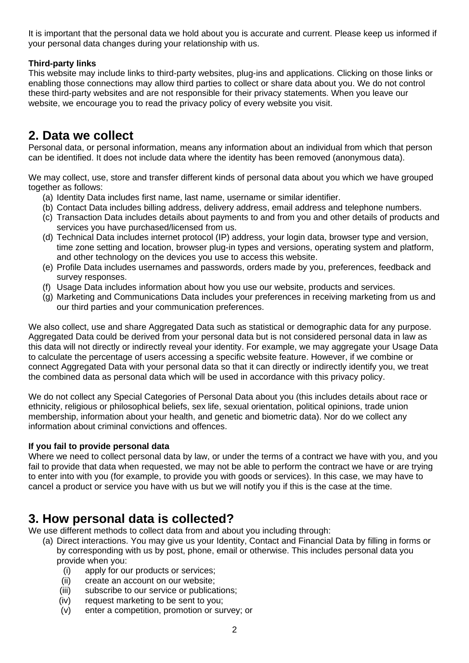It is important that the personal data we hold about you is accurate and current. Please keep us informed if your personal data changes during your relationship with us.

### **Third-party links**

This website may include links to third-party websites, plug-ins and applications. Clicking on those links or enabling those connections may allow third parties to collect or share data about you. We do not control these third-party websites and are not responsible for their privacy statements. When you leave our website, we encourage you to read the privacy policy of every website you visit.

## **2. Data we collect**

Personal data, or personal information, means any information about an individual from which that person can be identified. It does not include data where the identity has been removed (anonymous data).

We may collect, use, store and transfer different kinds of personal data about you which we have grouped together as follows:

- (a) Identity Data includes first name, last name, username or similar identifier.
- (b) Contact Data includes billing address, delivery address, email address and telephone numbers.
- (c) Transaction Data includes details about payments to and from you and other details of products and services you have purchased/licensed from us.
- (d) Technical Data includes internet protocol (IP) address, your login data, browser type and version, time zone setting and location, browser plug-in types and versions, operating system and platform, and other technology on the devices you use to access this website.
- (e) Profile Data includes usernames and passwords, orders made by you, preferences, feedback and survey responses.
- (f) Usage Data includes information about how you use our website, products and services.
- (g) Marketing and Communications Data includes your preferences in receiving marketing from us and our third parties and your communication preferences.

We also collect, use and share Aggregated Data such as statistical or demographic data for any purpose. Aggregated Data could be derived from your personal data but is not considered personal data in law as this data will not directly or indirectly reveal your identity. For example, we may aggregate your Usage Data to calculate the percentage of users accessing a specific website feature. However, if we combine or connect Aggregated Data with your personal data so that it can directly or indirectly identify you, we treat the combined data as personal data which will be used in accordance with this privacy policy.

We do not collect any Special Categories of Personal Data about you (this includes details about race or ethnicity, religious or philosophical beliefs, sex life, sexual orientation, political opinions, trade union membership, information about your health, and genetic and biometric data). Nor do we collect any information about criminal convictions and offences.

### **If you fail to provide personal data**

Where we need to collect personal data by law, or under the terms of a contract we have with you, and you fail to provide that data when requested, we may not be able to perform the contract we have or are trying to enter into with you (for example, to provide you with goods or services). In this case, we may have to cancel a product or service you have with us but we will notify you if this is the case at the time.

## **3. How personal data is collected?**

We use different methods to collect data from and about you including through:

(a) Direct interactions. You may give us your Identity, Contact and Financial Data by filling in forms or by corresponding with us by post, phone, email or otherwise. This includes personal data you provide when you:

- (i) apply for our products or services;
- (ii) create an account on our website;
- (iii) subscribe to our service or publications;
- (iv) request marketing to be sent to you;
- (v) enter a competition, promotion or survey; or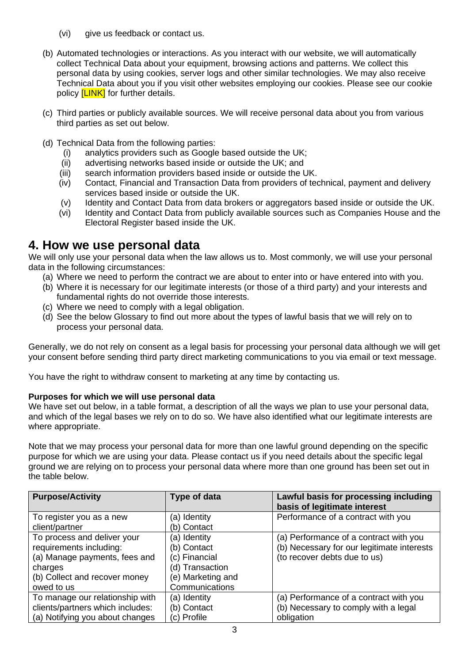- (vi) give us feedback or contact us.
- (b) Automated technologies or interactions. As you interact with our website, we will automatically collect Technical Data about your equipment, browsing actions and patterns. We collect this personal data by using cookies, server logs and other similar technologies. We may also receive Technical Data about you if you visit other websites employing our cookies. Please see our cookie policy **[LINK]** for further details.
- (c) Third parties or publicly available sources. We will receive personal data about you from various third parties as set out below.
- (d) Technical Data from the following parties:
	- (i) analytics providers such as Google based outside the UK;
	- (ii) advertising networks based inside or outside the UK; and
	- (iii) search information providers based inside or outside the UK.
	- (iv) Contact, Financial and Transaction Data from providers of technical, payment and delivery services based inside or outside the UK.
	- (v) Identity and Contact Data from data brokers or aggregators based inside or outside the UK.
	- (vi) Identity and Contact Data from publicly available sources such as Companies House and the Electoral Register based inside the UK.

## **4. How we use personal data**

We will only use your personal data when the law allows us to. Most commonly, we will use your personal data in the following circumstances:

- (a) Where we need to perform the contract we are about to enter into or have entered into with you.
- (b) Where it is necessary for our legitimate interests (or those of a third party) and your interests and fundamental rights do not override those interests.
- (c) Where we need to comply with a legal obligation.
- (d) See the below Glossary to find out more about the types of lawful basis that we will rely on to process your personal data.

Generally, we do not rely on consent as a legal basis for processing your personal data although we will get your consent before sending third party direct marketing communications to you via email or text message.

You have the right to withdraw consent to marketing at any time by contacting us.

#### **Purposes for which we will use personal data**

We have set out below, in a table format, a description of all the ways we plan to use your personal data, and which of the legal bases we rely on to do so. We have also identified what our legitimate interests are where appropriate.

Note that we may process your personal data for more than one lawful ground depending on the specific purpose for which we are using your data. Please contact us if you need details about the specific legal ground we are relying on to process your personal data where more than one ground has been set out in the table below.

| <b>Purpose/Activity</b>          | Type of data      | Lawful basis for processing including<br>basis of legitimate interest |
|----------------------------------|-------------------|-----------------------------------------------------------------------|
| To register you as a new         | (a) Identity      | Performance of a contract with you                                    |
| client/partner                   | (b) Contact       |                                                                       |
| To process and deliver your      | (a) Identity      | (a) Performance of a contract with you                                |
| requirements including:          | (b) Contact       | (b) Necessary for our legitimate interests                            |
| (a) Manage payments, fees and    | (c) Financial     | (to recover debts due to us)                                          |
| charges                          | (d) Transaction   |                                                                       |
| (b) Collect and recover money    | (e) Marketing and |                                                                       |
| owed to us                       | Communications    |                                                                       |
| To manage our relationship with  | (a) Identity      | (a) Performance of a contract with you                                |
| clients/partners which includes: | (b) Contact       | (b) Necessary to comply with a legal                                  |
| (a) Notifying you about changes  | (c) Profile       | obligation                                                            |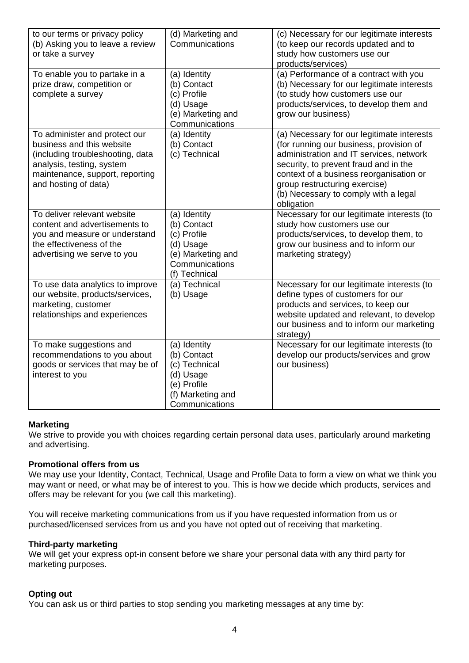| to our terms or privacy policy<br>(b) Asking you to leave a review<br>or take a survey                                                                                                 | (d) Marketing and<br>Communications                                                                             | (c) Necessary for our legitimate interests<br>(to keep our records updated and to<br>study how customers use our<br>products/services)                                                                                                                                                                      |
|----------------------------------------------------------------------------------------------------------------------------------------------------------------------------------------|-----------------------------------------------------------------------------------------------------------------|-------------------------------------------------------------------------------------------------------------------------------------------------------------------------------------------------------------------------------------------------------------------------------------------------------------|
| To enable you to partake in a<br>prize draw, competition or<br>complete a survey                                                                                                       | (a) Identity<br>(b) Contact<br>(c) Profile<br>(d) Usage<br>(e) Marketing and<br>Communications                  | (a) Performance of a contract with you<br>(b) Necessary for our legitimate interests<br>(to study how customers use our<br>products/services, to develop them and<br>grow our business)                                                                                                                     |
| To administer and protect our<br>business and this website<br>(including troubleshooting, data<br>analysis, testing, system<br>maintenance, support, reporting<br>and hosting of data) | (a) Identity<br>(b) Contact<br>(c) Technical                                                                    | (a) Necessary for our legitimate interests<br>(for running our business, provision of<br>administration and IT services, network<br>security, to prevent fraud and in the<br>context of a business reorganisation or<br>group restructuring exercise)<br>(b) Necessary to comply with a legal<br>obligation |
| To deliver relevant website<br>content and advertisements to<br>you and measure or understand<br>the effectiveness of the<br>advertising we serve to you                               | (a) Identity<br>(b) Contact<br>(c) Profile<br>(d) Usage<br>(e) Marketing and<br>Communications<br>(f) Technical | Necessary for our legitimate interests (to<br>study how customers use our<br>products/services, to develop them, to<br>grow our business and to inform our<br>marketing strategy)                                                                                                                           |
| To use data analytics to improve<br>our website, products/services,<br>marketing, customer<br>relationships and experiences                                                            | (a) Technical<br>(b) Usage                                                                                      | Necessary for our legitimate interests (to<br>define types of customers for our<br>products and services, to keep our<br>website updated and relevant, to develop<br>our business and to inform our marketing<br>strategy)                                                                                  |
| To make suggestions and<br>recommendations to you about<br>goods or services that may be of<br>interest to you                                                                         | (a) Identity<br>(b) Contact<br>(c) Technical<br>(d) Usage<br>(e) Profile<br>(f) Marketing and<br>Communications | Necessary for our legitimate interests (to<br>develop our products/services and grow<br>our business)                                                                                                                                                                                                       |

#### **Marketing**

We strive to provide you with choices regarding certain personal data uses, particularly around marketing and advertising.

#### **Promotional offers from us**

We may use your Identity, Contact, Technical, Usage and Profile Data to form a view on what we think you may want or need, or what may be of interest to you. This is how we decide which products, services and offers may be relevant for you (we call this marketing).

You will receive marketing communications from us if you have requested information from us or purchased/licensed services from us and you have not opted out of receiving that marketing.

#### **Third-party marketing**

We will get your express opt-in consent before we share your personal data with any third party for marketing purposes.

#### **Opting out**

You can ask us or third parties to stop sending you marketing messages at any time by: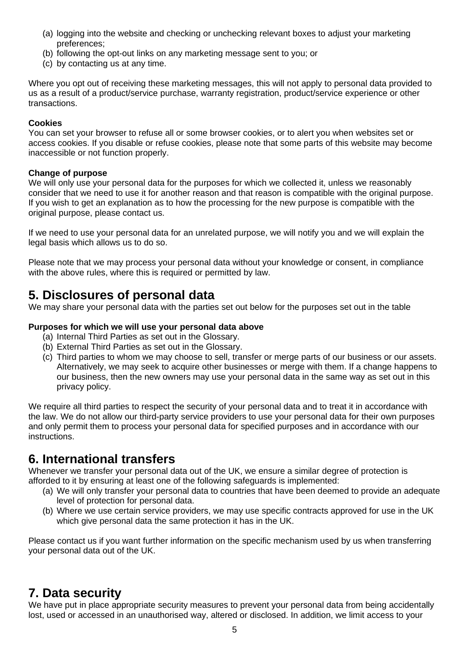- (a) logging into the website and checking or unchecking relevant boxes to adjust your marketing preferences;
- (b) following the opt-out links on any marketing message sent to you; or
- (c) by contacting us at any time.

Where you opt out of receiving these marketing messages, this will not apply to personal data provided to us as a result of a product/service purchase, warranty registration, product/service experience or other transactions.

### **Cookies**

You can set your browser to refuse all or some browser cookies, or to alert you when websites set or access cookies. If you disable or refuse cookies, please note that some parts of this website may become inaccessible or not function properly.

### **Change of purpose**

We will only use your personal data for the purposes for which we collected it, unless we reasonably consider that we need to use it for another reason and that reason is compatible with the original purpose. If you wish to get an explanation as to how the processing for the new purpose is compatible with the original purpose, please contact us.

If we need to use your personal data for an unrelated purpose, we will notify you and we will explain the legal basis which allows us to do so.

Please note that we may process your personal data without your knowledge or consent, in compliance with the above rules, where this is required or permitted by law.

# **5. Disclosures of personal data**

We may share your personal data with the parties set out below for the purposes set out in the table

### **Purposes for which we will use your personal data above**

- (a) Internal Third Parties as set out in the Glossary.
- (b) External Third Parties as set out in the Glossary.
- (c) Third parties to whom we may choose to sell, transfer or merge parts of our business or our assets. Alternatively, we may seek to acquire other businesses or merge with them. If a change happens to our business, then the new owners may use your personal data in the same way as set out in this privacy policy.

We require all third parties to respect the security of your personal data and to treat it in accordance with the law. We do not allow our third-party service providers to use your personal data for their own purposes and only permit them to process your personal data for specified purposes and in accordance with our instructions.

## **6. International transfers**

Whenever we transfer your personal data out of the UK, we ensure a similar degree of protection is afforded to it by ensuring at least one of the following safeguards is implemented:

- (a) We will only transfer your personal data to countries that have been deemed to provide an adequate level of protection for personal data.
- (b) Where we use certain service providers, we may use specific contracts approved for use in the UK which give personal data the same protection it has in the UK.

Please contact us if you want further information on the specific mechanism used by us when transferring your personal data out of the UK.

### **7. Data security**

We have put in place appropriate security measures to prevent your personal data from being accidentally lost, used or accessed in an unauthorised way, altered or disclosed. In addition, we limit access to your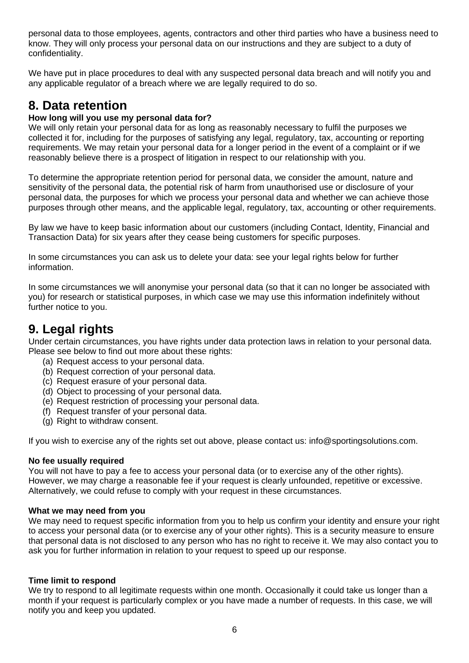personal data to those employees, agents, contractors and other third parties who have a business need to know. They will only process your personal data on our instructions and they are subject to a duty of confidentiality.

We have put in place procedures to deal with any suspected personal data breach and will notify you and any applicable regulator of a breach where we are legally required to do so.

# **8. Data retention**

### **How long will you use my personal data for?**

We will only retain your personal data for as long as reasonably necessary to fulfil the purposes we collected it for, including for the purposes of satisfying any legal, regulatory, tax, accounting or reporting requirements. We may retain your personal data for a longer period in the event of a complaint or if we reasonably believe there is a prospect of litigation in respect to our relationship with you.

To determine the appropriate retention period for personal data, we consider the amount, nature and sensitivity of the personal data, the potential risk of harm from unauthorised use or disclosure of your personal data, the purposes for which we process your personal data and whether we can achieve those purposes through other means, and the applicable legal, regulatory, tax, accounting or other requirements.

By law we have to keep basic information about our customers (including Contact, Identity, Financial and Transaction Data) for six years after they cease being customers for specific purposes.

In some circumstances you can ask us to delete your data: see your legal rights below for further information.

In some circumstances we will anonymise your personal data (so that it can no longer be associated with you) for research or statistical purposes, in which case we may use this information indefinitely without further notice to you.

## **9. Legal rights**

Under certain circumstances, you have rights under data protection laws in relation to your personal data. Please see below to find out more about these rights:

- (a) Request access to your personal data.
- (b) Request correction of your personal data.
- (c) Request erasure of your personal data.
- (d) Object to processing of your personal data.
- (e) Request restriction of processing your personal data.
- (f) Request transfer of your personal data.
- (g) Right to withdraw consent.

If you wish to exercise any of the rights set out above, please contact us: info@sportingsolutions.com.

#### **No fee usually required**

You will not have to pay a fee to access your personal data (or to exercise any of the other rights). However, we may charge a reasonable fee if your request is clearly unfounded, repetitive or excessive. Alternatively, we could refuse to comply with your request in these circumstances.

#### **What we may need from you**

We may need to request specific information from you to help us confirm your identity and ensure your right to access your personal data (or to exercise any of your other rights). This is a security measure to ensure that personal data is not disclosed to any person who has no right to receive it. We may also contact you to ask you for further information in relation to your request to speed up our response.

#### **Time limit to respond**

We try to respond to all legitimate requests within one month. Occasionally it could take us longer than a month if your request is particularly complex or you have made a number of requests. In this case, we will notify you and keep you updated.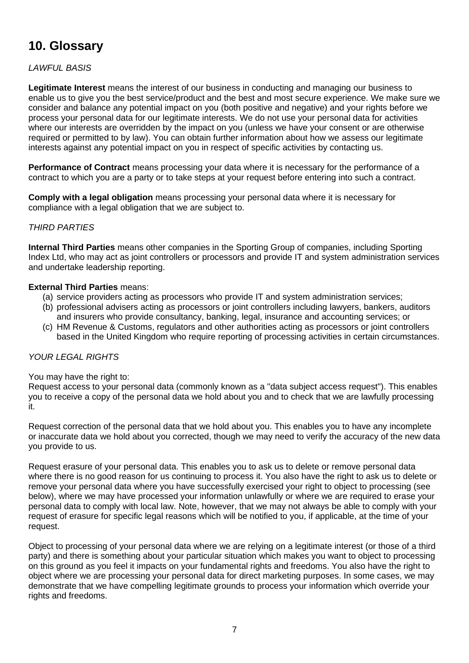# **10. Glossary**

### *LAWFUL BASIS*

**Legitimate Interest** means the interest of our business in conducting and managing our business to enable us to give you the best service/product and the best and most secure experience. We make sure we consider and balance any potential impact on you (both positive and negative) and your rights before we process your personal data for our legitimate interests. We do not use your personal data for activities where our interests are overridden by the impact on you (unless we have your consent or are otherwise required or permitted to by law). You can obtain further information about how we assess our legitimate interests against any potential impact on you in respect of specific activities by contacting us.

**Performance of Contract** means processing your data where it is necessary for the performance of a contract to which you are a party or to take steps at your request before entering into such a contract.

**Comply with a legal obligation** means processing your personal data where it is necessary for compliance with a legal obligation that we are subject to.

#### *THIRD PARTIES*

**Internal Third Parties** means other companies in the Sporting Group of companies, including Sporting Index Ltd, who may act as joint controllers or processors and provide IT and system administration services and undertake leadership reporting.

#### **External Third Parties** means:

- (a) service providers acting as processors who provide IT and system administration services;
- (b) professional advisers acting as processors or joint controllers including lawyers, bankers, auditors and insurers who provide consultancy, banking, legal, insurance and accounting services; or
- (c) HM Revenue & Customs, regulators and other authorities acting as processors or joint controllers based in the United Kingdom who require reporting of processing activities in certain circumstances.

#### *YOUR LEGAL RIGHTS*

You may have the right to:

Request access to your personal data (commonly known as a "data subject access request"). This enables you to receive a copy of the personal data we hold about you and to check that we are lawfully processing it.

Request correction of the personal data that we hold about you. This enables you to have any incomplete or inaccurate data we hold about you corrected, though we may need to verify the accuracy of the new data you provide to us.

Request erasure of your personal data. This enables you to ask us to delete or remove personal data where there is no good reason for us continuing to process it. You also have the right to ask us to delete or remove your personal data where you have successfully exercised your right to object to processing (see below), where we may have processed your information unlawfully or where we are required to erase your personal data to comply with local law. Note, however, that we may not always be able to comply with your request of erasure for specific legal reasons which will be notified to you, if applicable, at the time of your request.

Object to processing of your personal data where we are relying on a legitimate interest (or those of a third party) and there is something about your particular situation which makes you want to object to processing on this ground as you feel it impacts on your fundamental rights and freedoms. You also have the right to object where we are processing your personal data for direct marketing purposes. In some cases, we may demonstrate that we have compelling legitimate grounds to process your information which override your rights and freedoms.